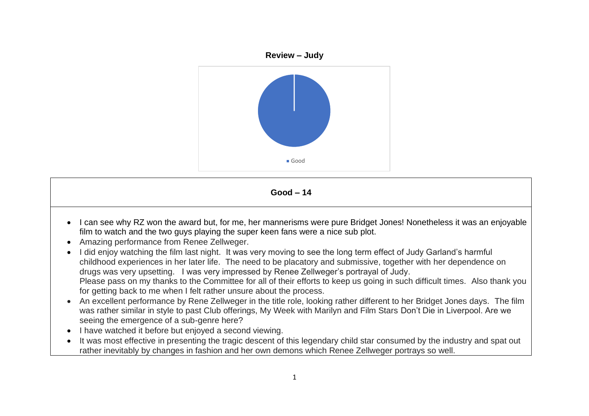

**Good – 14** 

- I can see why RZ won the award but, for me, her mannerisms were pure Bridget Jones! Nonetheless it was an enjoyable film to watch and the two guys playing the super keen fans were a nice sub plot.
- Amazing performance from Renee Zellweger.
- I did enjoy watching the film last night. It was very moving to see the long term effect of Judy Garland's harmful childhood experiences in her later life. The need to be placatory and submissive, together with her dependence on drugs was very upsetting. I was very impressed by Renee Zellweger's portrayal of Judy. Please pass on my thanks to the Committee for all of their efforts to keep us going in such difficult times. Also thank you for getting back to me when I felt rather unsure about the process.
- An excellent performance by Rene Zellweger in the title role, looking rather different to her Bridget Jones days. The film was rather similar in style to past Club offerings, My Week with Marilyn and Film Stars Don't Die in Liverpool. Are we seeing the emergence of a sub-genre here?
- I have watched it before but enjoyed a second viewing.
- It was most effective in presenting the tragic descent of this legendary child star consumed by the industry and spat out rather inevitably by changes in fashion and her own demons which Renee Zellweger portrays so well.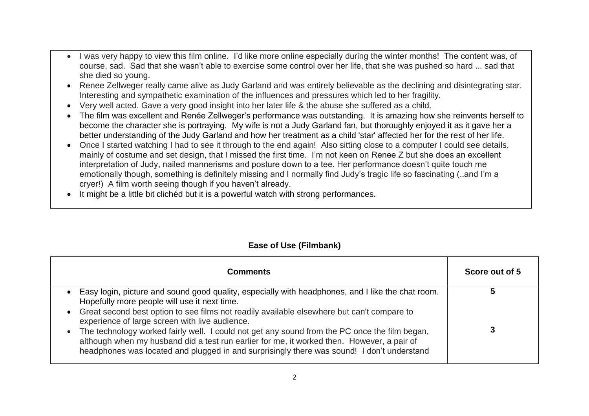- I was very happy to view this film online. I'd like more online especially during the winter months! The content was, of course, sad. Sad that she wasn't able to exercise some control over her life, that she was pushed so hard ... sad that she died so young.
- Renee Zellweger really came alive as Judy Garland and was entirely believable as the declining and disintegrating star. Interesting and sympathetic examination of the influences and pressures which led to her fragility.
- Very well acted. Gave a very good insight into her later life & the abuse she suffered as a child.
- The film was excellent and Renée Zellweger's performance was outstanding. It is amazing how she reinvents herself to become the character she is portraying. My wife is not a Judy Garland fan, but thoroughly enjoyed it as it gave her a better understanding of the Judy Garland and how her treatment as a child 'star' affected her for the rest of her life.
- Once I started watching I had to see it through to the end again! Also sitting close to a computer I could see details, mainly of costume and set design, that I missed the first time. I'm not keen on Renee Z but she does an excellent interpretation of Judy, nailed mannerisms and posture down to a tee. Her performance doesn't quite touch me emotionally though, something is definitely missing and I normally find Judy's tragic life so fascinating (..and I'm a cryer!) A film worth seeing though if you haven't already.
- It might be a little bit clichéd but it is a powerful watch with strong performances.

## **Ease of Use (Filmbank)**

| <b>Comments</b>                                                                                                                                                                                                                                                                                                                                                                                                                                                                                                                                                                                                          | Score out of 5 |
|--------------------------------------------------------------------------------------------------------------------------------------------------------------------------------------------------------------------------------------------------------------------------------------------------------------------------------------------------------------------------------------------------------------------------------------------------------------------------------------------------------------------------------------------------------------------------------------------------------------------------|----------------|
| Easy login, picture and sound good quality, especially with headphones, and I like the chat room.<br>Hopefully more people will use it next time.<br>Great second best option to see films not readily available elsewhere but can't compare to<br>$\bullet$<br>experience of large screen with live audience.<br>The technology worked fairly well. I could not get any sound from the PC once the film began,<br>$\bullet$<br>although when my husband did a test run earlier for me, it worked then. However, a pair of<br>headphones was located and plugged in and surprisingly there was sound! I don't understand |                |